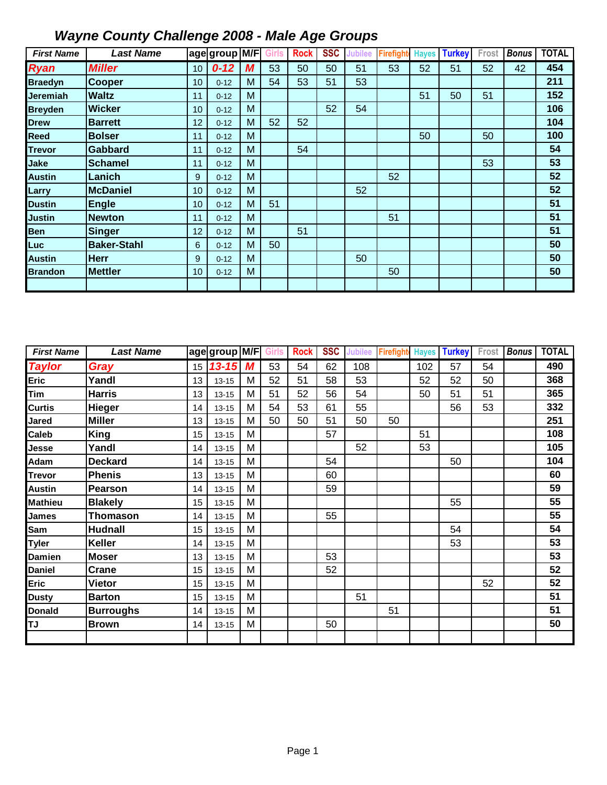| <b>First Name</b> | <b>Last Name</b>   |    | age group M/F |   | Girls | <b>Rock</b> | <b>SSC</b> | <b>Jubilee</b> | <b>Firefight</b> | <b>Hayes</b> | <b>Turkey</b> | Frost | <b>Bonus</b> | <b>TOTAL</b> |
|-------------------|--------------------|----|---------------|---|-------|-------------|------------|----------------|------------------|--------------|---------------|-------|--------------|--------------|
| <b>Ryan</b>       | <b>Miller</b>      | 10 | $0 - 12$      | M | 53    | 50          | 50         | 51             | 53               | 52           | 51            | 52    | 42           | 454          |
| <b>Braedyn</b>    | <b>Cooper</b>      | 10 | $0 - 12$      | M | 54    | 53          | 51         | 53             |                  |              |               |       |              | 211          |
| Jeremiah          | <b>Waltz</b>       | 11 | $0 - 12$      | M |       |             |            |                |                  | 51           | 50            | 51    |              | 152          |
| <b>Breyden</b>    | <b>Wicker</b>      | 10 | $0 - 12$      | M |       |             | 52         | 54             |                  |              |               |       |              | 106          |
| <b>Drew</b>       | <b>Barrett</b>     | 12 | $0 - 12$      | M | 52    | 52          |            |                |                  |              |               |       |              | 104          |
| Reed              | <b>Bolser</b>      | 11 | $0 - 12$      | M |       |             |            |                |                  | 50           |               | 50    |              | 100          |
| <b>Trevor</b>     | <b>Gabbard</b>     | 11 | $0 - 12$      | M |       | 54          |            |                |                  |              |               |       |              | 54           |
| Jake              | <b>Schamel</b>     | 11 | $0 - 12$      | M |       |             |            |                |                  |              |               | 53    |              | 53           |
| <b>Austin</b>     | Lanich             | 9  | $0 - 12$      | M |       |             |            |                | 52               |              |               |       |              | 52           |
| Larry             | <b>McDaniel</b>    | 10 | $0 - 12$      | M |       |             |            | 52             |                  |              |               |       |              | 52           |
| <b>Dustin</b>     | <b>Engle</b>       | 10 | $0 - 12$      | M | 51    |             |            |                |                  |              |               |       |              | 51           |
| <b>Justin</b>     | <b>Newton</b>      | 11 | $0 - 12$      | M |       |             |            |                | 51               |              |               |       |              | 51           |
| <b>Ben</b>        | Singer             | 12 | $0 - 12$      | M |       | 51          |            |                |                  |              |               |       |              | 51           |
| Luc               | <b>Baker-Stahl</b> | 6  | $0 - 12$      | M | 50    |             |            |                |                  |              |               |       |              | 50           |
| <b>Austin</b>     | <b>Herr</b>        | 9  | $0 - 12$      | M |       |             |            | 50             |                  |              |               |       |              | 50           |
| <b>Brandon</b>    | <b>Mettler</b>     | 10 | $0 - 12$      | M |       |             |            |                | 50               |              |               |       |              | 50           |
|                   |                    |    |               |   |       |             |            |                |                  |              |               |       |              |              |

| <b>First Name</b> | <b>Last Name</b> |    | age group M/F |   | <b>Girls</b> | <b>Rock</b> | <b>SSC</b> | <b>Jubilee</b> | Firefight | <b>Hayes</b> | <b>Turkey</b> | Frost | <b>Bonus</b> | <b>TOTAL</b> |
|-------------------|------------------|----|---------------|---|--------------|-------------|------------|----------------|-----------|--------------|---------------|-------|--------------|--------------|
| <b>Taylor</b>     | Gray             | 15 | $13 - 15$     | M | 53           | 54          | 62         | 108            |           | 102          | 57            | 54    |              | 490          |
| Eric              | Yandl            | 13 | $13 - 15$     | M | 52           | 51          | 58         | 53             |           | 52           | 52            | 50    |              | 368          |
| Tim               | <b>Harris</b>    | 13 | $13 - 15$     | M | 51           | 52          | 56         | 54             |           | 50           | 51            | 51    |              | 365          |
| <b>Curtis</b>     | <b>Hieger</b>    | 14 | $13 - 15$     | M | 54           | 53          | 61         | 55             |           |              | 56            | 53    |              | 332          |
| Jared             | <b>Miller</b>    | 13 | $13 - 15$     | M | 50           | 50          | 51         | 50             | 50        |              |               |       |              | 251          |
| Caleb             | <b>King</b>      | 15 | $13 - 15$     | M |              |             | 57         |                |           | 51           |               |       |              | 108          |
| Jesse             | Yandl            | 14 | $13 - 15$     | M |              |             |            | 52             |           | 53           |               |       |              | 105          |
| Adam              | <b>Deckard</b>   | 14 | $13 - 15$     | M |              |             | 54         |                |           |              | 50            |       |              | 104          |
| <b>Trevor</b>     | <b>Phenis</b>    | 13 | $13 - 15$     | M |              |             | 60         |                |           |              |               |       |              | 60           |
| <b>Austin</b>     | Pearson          | 14 | $13 - 15$     | M |              |             | 59         |                |           |              |               |       |              | 59           |
| <b>Mathieu</b>    | <b>Blakely</b>   | 15 | $13 - 15$     | M |              |             |            |                |           |              | 55            |       |              | 55           |
| James             | <b>Thomason</b>  | 14 | $13 - 15$     | M |              |             | 55         |                |           |              |               |       |              | 55           |
| Sam               | <b>Hudnall</b>   | 15 | $13 - 15$     | M |              |             |            |                |           |              | 54            |       |              | 54           |
| <b>Tyler</b>      | Keller           | 14 | $13 - 15$     | M |              |             |            |                |           |              | 53            |       |              | 53           |
| Damien            | <b>Moser</b>     | 13 | $13 - 15$     | M |              |             | 53         |                |           |              |               |       |              | 53           |
| <b>Daniel</b>     | <b>Crane</b>     | 15 | $13 - 15$     | M |              |             | 52         |                |           |              |               |       |              | 52           |
| Eric              | <b>Vietor</b>    | 15 | $13 - 15$     | M |              |             |            |                |           |              |               | 52    |              | 52           |
| <b>Dusty</b>      | <b>Barton</b>    | 15 | $13 - 15$     | M |              |             |            | 51             |           |              |               |       |              | 51           |
| <b>Donald</b>     | <b>Burroughs</b> | 14 | $13 - 15$     | M |              |             |            |                | 51        |              |               |       |              | 51           |
| <b>TJ</b>         | <b>Brown</b>     | 14 | $13 - 15$     | M |              |             | 50         |                |           |              |               |       |              | 50           |
|                   |                  |    |               |   |              |             |            |                |           |              |               |       |              |              |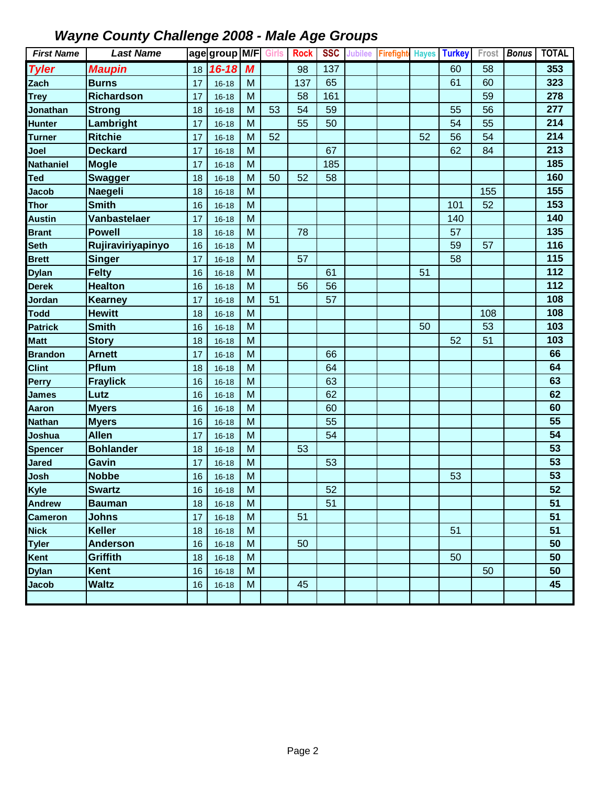| <b>First Name</b> | <b>Last Name</b>    |    | age group M/F Girls |                  |    | <b>Rock</b> | <b>SSC</b> | <b>Jubilee</b> | <b>Firefight</b> | <b>Hayes</b> | <b>Turkey</b> | Frost | <b>Bonus</b> | <b>TOTAL</b> |
|-------------------|---------------------|----|---------------------|------------------|----|-------------|------------|----------------|------------------|--------------|---------------|-------|--------------|--------------|
| <b>Tyler</b>      | <b>Maupin</b>       | 18 | $16 - 18$           | $\boldsymbol{M}$ |    | 98          | 137        |                |                  |              | 60            | 58    |              | 353          |
| Zach              | <b>Burns</b>        | 17 | $16 - 18$           | M                |    | 137         | 65         |                |                  |              | 61            | 60    |              | 323          |
| <b>Trey</b>       | <b>Richardson</b>   | 17 | $16 - 18$           | M                |    | 58          | 161        |                |                  |              |               | 59    |              | 278          |
| <b>Jonathan</b>   | <b>Strong</b>       | 18 | $16 - 18$           | M                | 53 | 54          | 59         |                |                  |              | 55            | 56    |              | 277          |
| <b>Hunter</b>     | Lambright           | 17 | $16 - 18$           | M                |    | 55          | 50         |                |                  |              | 54            | 55    |              | 214          |
| <b>Turner</b>     | <b>Ritchie</b>      | 17 | $16 - 18$           | M                | 52 |             |            |                |                  | 52           | 56            | 54    |              | 214          |
| Joel              | <b>Deckard</b>      | 17 | $16 - 18$           | M                |    |             | 67         |                |                  |              | 62            | 84    |              | 213          |
| <b>Nathaniel</b>  | <b>Mogle</b>        | 17 | $16 - 18$           | M                |    |             | 185        |                |                  |              |               |       |              | 185          |
| Ted               | <b>Swagger</b>      | 18 | $16 - 18$           | M                | 50 | 52          | 58         |                |                  |              |               |       |              | 160          |
| <b>Jacob</b>      | <b>Naegeli</b>      | 18 | $16 - 18$           | M                |    |             |            |                |                  |              |               | 155   |              | 155          |
| <b>Thor</b>       | <b>Smith</b>        | 16 | $16 - 18$           | M                |    |             |            |                |                  |              | 101           | 52    |              | 153          |
| <b>Austin</b>     | <b>Vanbastelaer</b> | 17 | $16 - 18$           | M                |    |             |            |                |                  |              | 140           |       |              | 140          |
| <b>Brant</b>      | <b>Powell</b>       | 18 | $16 - 18$           | M                |    | 78          |            |                |                  |              | 57            |       |              | 135          |
| Seth              | Rujiraviriyapinyo   | 16 | $16 - 18$           | M                |    |             |            |                |                  |              | 59            | 57    |              | 116          |
| <b>Brett</b>      | <b>Singer</b>       | 17 | $16 - 18$           | M                |    | 57          |            |                |                  |              | 58            |       |              | 115          |
| <b>Dylan</b>      | <b>Felty</b>        | 16 | $16 - 18$           | M                |    |             | 61         |                |                  | 51           |               |       |              | 112          |
| <b>Derek</b>      | <b>Healton</b>      | 16 | $16 - 18$           | M                |    | 56          | 56         |                |                  |              |               |       |              | 112          |
| Jordan            | <b>Kearney</b>      | 17 | $16 - 18$           | M                | 51 |             | 57         |                |                  |              |               |       |              | 108          |
| <b>Todd</b>       | <b>Hewitt</b>       | 18 | $16 - 18$           | M                |    |             |            |                |                  |              |               | 108   |              | 108          |
| <b>Patrick</b>    | <b>Smith</b>        | 16 | $16 - 18$           | M                |    |             |            |                |                  | 50           |               | 53    |              | 103          |
| <b>Matt</b>       | <b>Story</b>        | 18 | $16 - 18$           | M                |    |             |            |                |                  |              | 52            | 51    |              | 103          |
| <b>Brandon</b>    | <b>Arnett</b>       | 17 | $16 - 18$           | M                |    |             | 66         |                |                  |              |               |       |              | 66           |
| <b>Clint</b>      | Pflum               | 18 | $16 - 18$           | M                |    |             | 64         |                |                  |              |               |       |              | 64           |
| Perry             | <b>Fraylick</b>     | 16 | $16 - 18$           | M                |    |             | 63         |                |                  |              |               |       |              | 63           |
| <b>James</b>      | Lutz                | 16 | $16 - 18$           | M                |    |             | 62         |                |                  |              |               |       |              | 62           |
| Aaron             | <b>Myers</b>        | 16 | $16 - 18$           | M                |    |             | 60         |                |                  |              |               |       |              | 60           |
| <b>Nathan</b>     | <b>Myers</b>        | 16 | $16 - 18$           | M                |    |             | 55         |                |                  |              |               |       |              | 55           |
| Joshua            | <b>Allen</b>        | 17 | $16 - 18$           | M                |    |             | 54         |                |                  |              |               |       |              | 54           |
| Spencer           | <b>Bohlander</b>    | 18 | $16 - 18$           | M                |    | 53          |            |                |                  |              |               |       |              | 53           |
| Jared             | Gavin               | 17 | $16 - 18$           | M                |    |             | 53         |                |                  |              |               |       |              | 53           |
| Josh              | <b>Nobbe</b>        | 16 | $16 - 18$           | M                |    |             |            |                |                  |              | 53            |       |              | 53           |
| Kyle              | <b>Swartz</b>       | 16 | $16-18$             | ${\sf M}$        |    |             | 52         |                |                  |              |               |       |              | 52           |
| <b>Andrew</b>     | <b>Bauman</b>       | 18 | $16 - 18$           | M                |    |             | 51         |                |                  |              |               |       |              | 51           |
| <b>Cameron</b>    | <b>Johns</b>        | 17 | $16 - 18$           | M                |    | 51          |            |                |                  |              |               |       |              | 51           |
| <b>Nick</b>       | <b>Keller</b>       | 18 | $16 - 18$           | M                |    |             |            |                |                  |              | 51            |       |              | 51           |
| <b>Tyler</b>      | <b>Anderson</b>     | 16 | $16 - 18$           | M                |    | 50          |            |                |                  |              |               |       |              | 50           |
| Kent              | Griffith            | 18 | $16 - 18$           | M                |    |             |            |                |                  |              | 50            |       |              | 50           |
| <b>Dylan</b>      | Kent                | 16 | $16 - 18$           | M                |    |             |            |                |                  |              |               | 50    |              | 50           |
| <b>Jacob</b>      | <b>Waltz</b>        | 16 | $16 - 18$           | M                |    | 45          |            |                |                  |              |               |       |              | 45           |
|                   |                     |    |                     |                  |    |             |            |                |                  |              |               |       |              |              |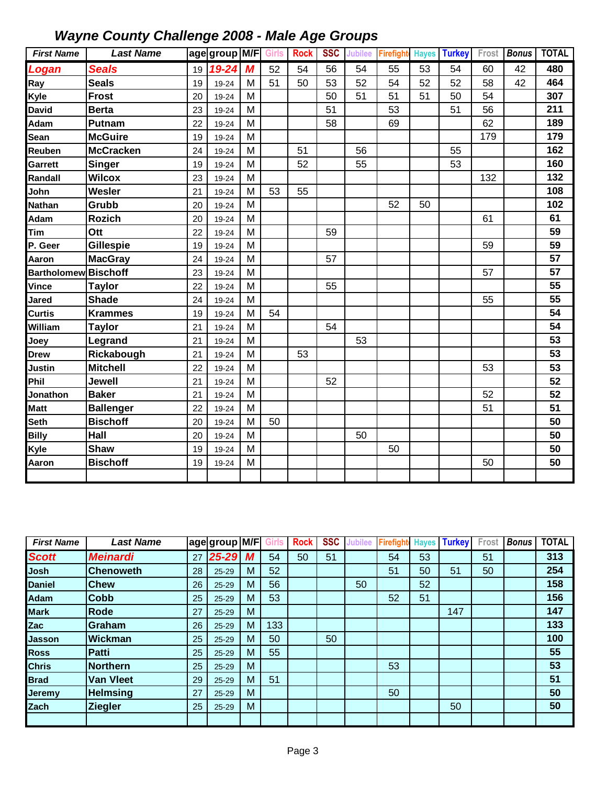| <b>First Name</b>           | <b>Last Name</b> |    | age group M/F Girls   Rock |   |    |    | <b>SSC</b> | <b>Jubilee</b> | <b>Firefight</b> | <b>Hayes</b> | <b>Turkey</b> | Frost | <b>Bonus</b> | <b>TOTAL</b> |
|-----------------------------|------------------|----|----------------------------|---|----|----|------------|----------------|------------------|--------------|---------------|-------|--------------|--------------|
| Logan                       | <b>Seals</b>     | 19 | $19 - 24$                  | M | 52 | 54 | 56         | 54             | 55               | 53           | 54            | 60    | 42           | 480          |
| Ray                         | <b>Seals</b>     | 19 | 19-24                      | м | 51 | 50 | 53         | 52             | 54               | 52           | 52            | 58    | 42           | 464          |
| Kyle                        | <b>Frost</b>     | 20 | 19-24                      | M |    |    | 50         | 51             | 51               | 51           | 50            | 54    |              | 307          |
| <b>David</b>                | <b>Berta</b>     | 23 | 19-24                      | M |    |    | 51         |                | 53               |              | 51            | 56    |              | 211          |
| Adam                        | <b>Putnam</b>    | 22 | 19-24                      | M |    |    | 58         |                | 69               |              |               | 62    |              | 189          |
| Sean                        | <b>McGuire</b>   | 19 | 19-24                      | M |    |    |            |                |                  |              |               | 179   |              | 179          |
| Reuben                      | <b>McCracken</b> | 24 | 19-24                      | M |    | 51 |            | 56             |                  |              | 55            |       |              | 162          |
| Garrett                     | <b>Singer</b>    | 19 | 19-24                      | M |    | 52 |            | 55             |                  |              | 53            |       |              | 160          |
| Randall                     | <b>Wilcox</b>    | 23 | 19-24                      | M |    |    |            |                |                  |              |               | 132   |              | 132          |
| John                        | Wesler           | 21 | 19-24                      | M | 53 | 55 |            |                |                  |              |               |       |              | 108          |
| <b>Nathan</b>               | Grubb            | 20 | 19-24                      | M |    |    |            |                | 52               | 50           |               |       |              | 102          |
| Adam                        | <b>Rozich</b>    | 20 | 19-24                      | M |    |    |            |                |                  |              |               | 61    |              | 61           |
| Tim                         | Ott              | 22 | 19-24                      | M |    |    | 59         |                |                  |              |               |       |              | 59           |
| P. Geer                     | <b>Gillespie</b> | 19 | 19-24                      | M |    |    |            |                |                  |              |               | 59    |              | 59           |
| Aaron                       | <b>MacGray</b>   | 24 | 19-24                      | M |    |    | 57         |                |                  |              |               |       |              | 57           |
| <b>Bartholomew Bischoff</b> |                  | 23 | 19-24                      | M |    |    |            |                |                  |              |               | 57    |              | 57           |
| Vince                       | <b>Taylor</b>    | 22 | 19-24                      | M |    |    | 55         |                |                  |              |               |       |              | 55           |
| Jared                       | <b>Shade</b>     | 24 | 19-24                      | M |    |    |            |                |                  |              |               | 55    |              | 55           |
| Curtis                      | <b>Krammes</b>   | 19 | 19-24                      | M | 54 |    |            |                |                  |              |               |       |              | 54           |
| William                     | <b>Taylor</b>    | 21 | 19-24                      | M |    |    | 54         |                |                  |              |               |       |              | 54           |
| Joey                        | Legrand          | 21 | 19-24                      | M |    |    |            | 53             |                  |              |               |       |              | 53           |
| <b>Drew</b>                 | Rickabough       | 21 | 19-24                      | M |    | 53 |            |                |                  |              |               |       |              | 53           |
| Justin                      | <b>Mitchell</b>  | 22 | 19-24                      | M |    |    |            |                |                  |              |               | 53    |              | 53           |
| Phil                        | Jewell           | 21 | 19-24                      | M |    |    | 52         |                |                  |              |               |       |              | 52           |
| Jonathon                    | <b>Baker</b>     | 21 | 19-24                      | M |    |    |            |                |                  |              |               | 52    |              | 52           |
| <b>Matt</b>                 | <b>Ballenger</b> | 22 | 19-24                      | M |    |    |            |                |                  |              |               | 51    |              | 51           |
| Seth                        | <b>Bischoff</b>  | 20 | 19-24                      | M | 50 |    |            |                |                  |              |               |       |              | 50           |
| <b>Billy</b>                | Hall             | 20 | 19-24                      | M |    |    |            | 50             |                  |              |               |       |              | 50           |
| Kyle                        | <b>Shaw</b>      | 19 | 19-24                      | M |    |    |            |                | 50               |              |               |       |              | 50           |
| Aaron                       | <b>Bischoff</b>  | 19 | 19-24                      | M |    |    |            |                |                  |              |               | 50    |              | 50           |
|                             |                  |    |                            |   |    |    |            |                |                  |              |               |       |              |              |

| <b>First Name</b> | Last Name        |    | age group M/F |   |     | <b>Rock</b> | <b>SSC</b> | ubilee | <b>Firefight</b> | <b>Hayes</b> | <b>Turkey</b> | Frost | <b>Bonus</b> | <b>TOTAL</b> |
|-------------------|------------------|----|---------------|---|-----|-------------|------------|--------|------------------|--------------|---------------|-------|--------------|--------------|
| <b>Scott</b>      | <b>Meinardi</b>  | 27 | $25 - 29$     | М | 54  | 50          | 51         |        | 54               | 53           |               | 51    |              | 313          |
| Josh              | lChenoweth       | 28 | $25 - 29$     | M | 52  |             |            |        | 51               | 50           | 51            | 50    |              | 254          |
| <b>Daniel</b>     | <b>Chew</b>      | 26 | $25 - 29$     | M | 56  |             |            | 50     |                  | 52           |               |       |              | 158          |
| Adam              | <b>Cobb</b>      | 25 | 25-29         | M | 53  |             |            |        | 52               | 51           |               |       |              | 156          |
| <b>Mark</b>       | Rode             | 27 | $25 - 29$     | M |     |             |            |        |                  |              | 147           |       |              | 147          |
| Zac               | Graham           | 26 | 25-29         | M | 133 |             |            |        |                  |              |               |       |              | 133          |
| <b>Jasson</b>     | Wickman          | 25 | $25 - 29$     | M | 50  |             | 50         |        |                  |              |               |       |              | 100          |
| <b>Ross</b>       | Patti            | 25 | $25 - 29$     | M | 55  |             |            |        |                  |              |               |       |              | 55           |
| <b>Chris</b>      | <b>Northern</b>  | 25 | 25-29         | M |     |             |            |        | 53               |              |               |       |              | 53           |
| <b>Brad</b>       | <b>Van Vleet</b> | 29 | 25-29         | M | 51  |             |            |        |                  |              |               |       |              | 51           |
| Jeremy            | <b>Helmsing</b>  | 27 | 25-29         | M |     |             |            |        | 50               |              |               |       |              | 50           |
| <b>Zach</b>       | <b>Ziegler</b>   | 25 | 25-29         | M |     |             |            |        |                  |              | 50            |       |              | 50           |
|                   |                  |    |               |   |     |             |            |        |                  |              |               |       |              |              |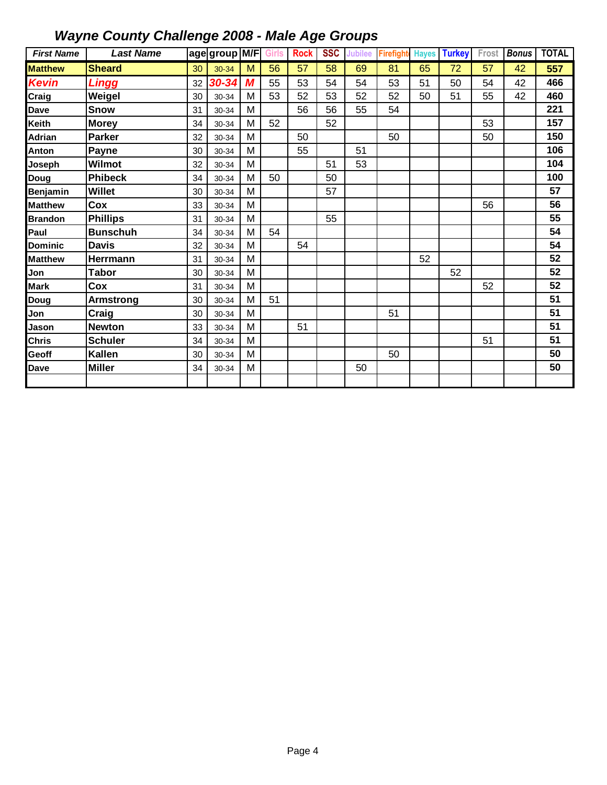| <b>First Name</b> | <b>Last Name</b> |    | age group M/F |   | <b>Girls</b> | <b>Rock</b> | <b>SSC</b> | Jubilee | Firefight | <b>Hayes</b> | <b>Turkey</b> | Frost | <b>Bonus</b> | <b>TOTAL</b> |
|-------------------|------------------|----|---------------|---|--------------|-------------|------------|---------|-----------|--------------|---------------|-------|--------------|--------------|
| <b>Matthew</b>    | <b>Sheard</b>    | 30 | 30-34         | M | 56           | 57          | 58         | 69      | 81        | 65           | 72            | 57    | 42           | 557          |
| <b>Kevin</b>      | <b>Lingg</b>     | 32 | 30-34         | M | 55           | 53          | 54         | 54      | 53        | 51           | 50            | 54    | 42           | 466          |
| Craig             | Weigel           | 30 | 30-34         | M | 53           | 52          | 53         | 52      | 52        | 50           | 51            | 55    | 42           | 460          |
| <b>Dave</b>       | Snow             | 31 | 30-34         | M |              | 56          | 56         | 55      | 54        |              |               |       |              | 221          |
| Keith             | <b>Morey</b>     | 34 | 30-34         | M | 52           |             | 52         |         |           |              |               | 53    |              | 157          |
| <b>Adrian</b>     | <b>Parker</b>    | 32 | 30-34         | M |              | 50          |            |         | 50        |              |               | 50    |              | 150          |
| Anton             | Payne            | 30 | 30-34         | M |              | 55          |            | 51      |           |              |               |       |              | 106          |
| Joseph            | Wilmot           | 32 | 30-34         | M |              |             | 51         | 53      |           |              |               |       |              | 104          |
| Doug              | <b>Phibeck</b>   | 34 | 30-34         | M | 50           |             | 50         |         |           |              |               |       |              | 100          |
| Benjamin          | <b>Willet</b>    | 30 | 30-34         | M |              |             | 57         |         |           |              |               |       |              | 57           |
| <b>Matthew</b>    | Cox              | 33 | 30-34         | M |              |             |            |         |           |              |               | 56    |              | 56           |
| <b>Brandon</b>    | <b>Phillips</b>  | 31 | 30-34         | M |              |             | 55         |         |           |              |               |       |              | 55           |
| Paul              | <b>Bunschuh</b>  | 34 | 30-34         | M | 54           |             |            |         |           |              |               |       |              | 54           |
| <b>Dominic</b>    | <b>Davis</b>     | 32 | 30-34         | M |              | 54          |            |         |           |              |               |       |              | 54           |
| <b>Matthew</b>    | Herrmann         | 31 | 30-34         | M |              |             |            |         |           | 52           |               |       |              | 52           |
| Jon               | <b>Tabor</b>     | 30 | 30-34         | M |              |             |            |         |           |              | 52            |       |              | 52           |
| <b>Mark</b>       | Cox              | 31 | 30-34         | M |              |             |            |         |           |              |               | 52    |              | 52           |
| Doug              | <b>Armstrong</b> | 30 | 30-34         | M | 51           |             |            |         |           |              |               |       |              | 51           |
| Jon               | Craig            | 30 | 30-34         | M |              |             |            |         | 51        |              |               |       |              | 51           |
| Jason             | <b>Newton</b>    | 33 | 30-34         | M |              | 51          |            |         |           |              |               |       |              | 51           |
| <b>Chris</b>      | <b>Schuler</b>   | 34 | 30-34         | M |              |             |            |         |           |              |               | 51    |              | 51           |
| Geoff             | <b>Kallen</b>    | 30 | 30-34         | M |              |             |            |         | 50        |              |               |       |              | 50           |
| Dave              | <b>Miller</b>    | 34 | 30-34         | M |              |             |            | 50      |           |              |               |       |              | 50           |
|                   |                  |    |               |   |              |             |            |         |           |              |               |       |              |              |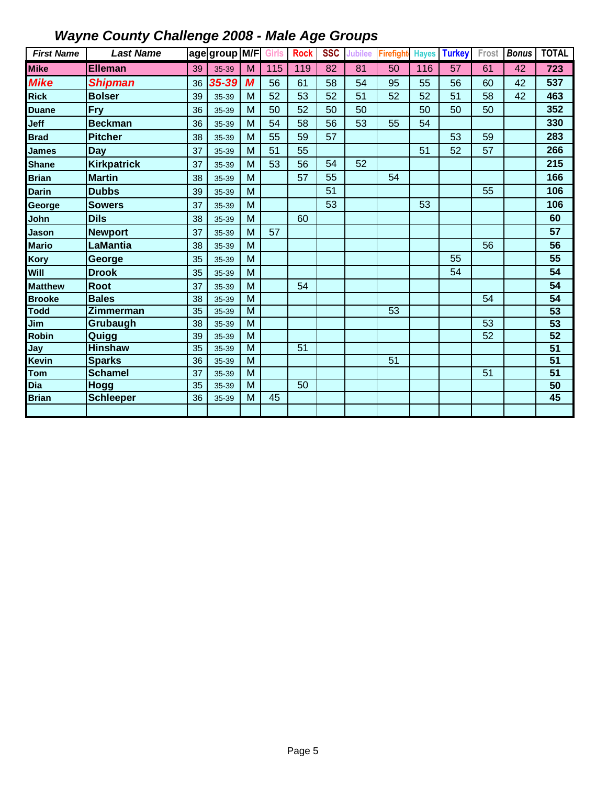| <b>First Name</b> | <b>Last Name</b>   |    | age group M/F Girls |                         |     | <b>Rock</b> | <b>SSC</b>      | Jubilee         | Firefight | <b>Hayes</b> | <b>Turkey</b>   | Frost | <b>Bonus</b>    | <b>TOTAL</b>    |
|-------------------|--------------------|----|---------------------|-------------------------|-----|-------------|-----------------|-----------------|-----------|--------------|-----------------|-------|-----------------|-----------------|
| <b>Mike</b>       | <b>Elleman</b>     | 39 | 35-39               | M                       | 115 | 119         | $\overline{82}$ | $\overline{81}$ | 50        | 116          | $\overline{57}$ | 61    | $\overline{42}$ | 723             |
| <b>Mike</b>       | <b>Shipman</b>     | 36 | 35-39               | $\overline{\mathbf{M}}$ | 56  | 61          | 58              | 54              | 95        | 55           | 56              | 60    | 42              | 537             |
| <b>Rick</b>       | <b>Bolser</b>      | 39 | 35-39               | M                       | 52  | 53          | 52              | 51              | 52        | 52           | 51              | 58    | 42              | 463             |
| <b>Duane</b>      | <b>Fry</b>         | 36 | 35-39               | M                       | 50  | 52          | 50              | 50              |           | 50           | 50              | 50    |                 | 352             |
| Jeff              | <b>Beckman</b>     | 36 | 35-39               | M                       | 54  | 58          | 56              | 53              | 55        | 54           |                 |       |                 | 330             |
| <b>Brad</b>       | <b>Pitcher</b>     | 38 | 35-39               | M                       | 55  | 59          | 57              |                 |           |              | 53              | 59    |                 | 283             |
| <b>James</b>      | Day                | 37 | 35-39               | M                       | 51  | 55          |                 |                 |           | 51           | 52              | 57    |                 | 266             |
| <b>Shane</b>      | <b>Kirkpatrick</b> | 37 | 35-39               | M                       | 53  | 56          | 54              | 52              |           |              |                 |       |                 | 215             |
| <b>Brian</b>      | <b>Martin</b>      | 38 | 35-39               | M                       |     | 57          | 55              |                 | 54        |              |                 |       |                 | 166             |
| <b>Darin</b>      | <b>Dubbs</b>       | 39 | 35-39               | M                       |     |             | 51              |                 |           |              |                 | 55    |                 | 106             |
| George            | <b>Sowers</b>      | 37 | 35-39               | M                       |     |             | 53              |                 |           | 53           |                 |       |                 | 106             |
| John              | <b>Dils</b>        | 38 | 35-39               | M                       |     | 60          |                 |                 |           |              |                 |       |                 | 60              |
| Jason             | <b>Newport</b>     | 37 | 35-39               | M                       | 57  |             |                 |                 |           |              |                 |       |                 | 57              |
| <b>Mario</b>      | LaMantia           | 38 | 35-39               | M                       |     |             |                 |                 |           |              |                 | 56    |                 | 56              |
| Kory              | George             | 35 | 35-39               | M                       |     |             |                 |                 |           |              | 55              |       |                 | 55              |
| Will              | <b>Drook</b>       | 35 | 35-39               | M                       |     |             |                 |                 |           |              | 54              |       |                 | 54              |
| <b>Matthew</b>    | <b>Root</b>        | 37 | 35-39               | M                       |     | 54          |                 |                 |           |              |                 |       |                 | 54              |
| <b>Brooke</b>     | <b>Bales</b>       | 38 | 35-39               | $\overline{M}$          |     |             |                 |                 |           |              |                 | 54    |                 | 54              |
| <b>Todd</b>       | Zimmerman          | 35 | 35-39               | M                       |     |             |                 |                 | 53        |              |                 |       |                 | 53              |
| Jim               | Grubaugh           | 38 | 35-39               | $\overline{M}$          |     |             |                 |                 |           |              |                 | 53    |                 | $\overline{53}$ |
| Robin             | Quigg              | 39 | 35-39               | M                       |     |             |                 |                 |           |              |                 | 52    |                 | $\overline{52}$ |
| Jay               | <b>Hinshaw</b>     | 35 | 35-39               | M                       |     | 51          |                 |                 |           |              |                 |       |                 | $\overline{51}$ |
| Kevin             | <b>Sparks</b>      | 36 | 35-39               | M                       |     |             |                 |                 | 51        |              |                 |       |                 | 51              |
| Tom               | <b>Schamel</b>     | 37 | 35-39               | M                       |     |             |                 |                 |           |              |                 | 51    |                 | 51              |
| Dia               | <b>Hogg</b>        | 35 | 35-39               | M                       |     | 50          |                 |                 |           |              |                 |       |                 | $\overline{50}$ |
| <b>Brian</b>      | <b>Schleeper</b>   | 36 | 35-39               | M                       | 45  |             |                 |                 |           |              |                 |       |                 | 45              |
|                   |                    |    |                     |                         |     |             |                 |                 |           |              |                 |       |                 |                 |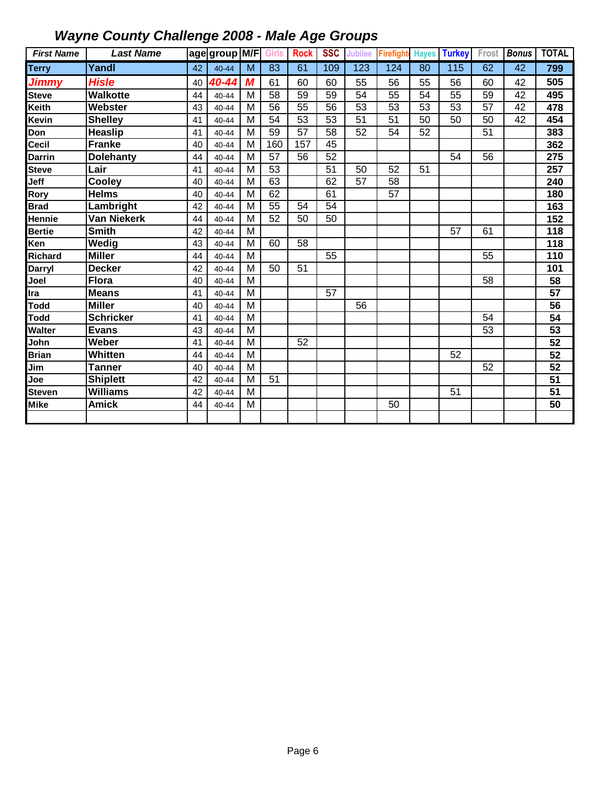| <b>First Name</b> | <b>Last Name</b>   |    | age group M/F |                | Girls           | <b>Rock</b>     | <b>SSC</b>      | Jubilee | Firefight | <b>Hayes</b> | <b>Turkey</b> | Frost | <b>Bonus</b> | <b>TOTAL</b>     |
|-------------------|--------------------|----|---------------|----------------|-----------------|-----------------|-----------------|---------|-----------|--------------|---------------|-------|--------------|------------------|
| <b>Terry</b>      | Yandl              | 42 | 40-44         | M              | 83              | 61              | 109             | 123     | 124       | 80           | 115           | 62    | 42           | 799              |
| <b>Jimmy</b>      | <b>Hisle</b>       | 40 | 40-44         | M              | 61              | 60              | 60              | 55      | 56        | 55           | 56            | 60    | 42           | 505              |
| <b>Steve</b>      | <b>Walkotte</b>    | 44 | 40-44         | M              | 58              | 59              | 59              | 54      | 55        | 54           | 55            | 59    | 42           | 495              |
| Keith             | Webster            | 43 | 40-44         | M              | 56              | $\overline{55}$ | 56              | 53      | 53        | 53           | 53            | 57    | 42           | 478              |
| Kevin             | <b>Shelley</b>     | 41 | 40-44         | M              | 54              | 53              | 53              | 51      | 51        | 50           | 50            | 50    | 42           | 454              |
| Don               | <b>Heaslip</b>     | 41 | 40-44         | M              | 59              | 57              | 58              | 52      | 54        | 52           |               | 51    |              | 383              |
| Cecil             | <b>Franke</b>      | 40 | 40-44         | $\overline{M}$ | 160             | 157             | $\overline{45}$ |         |           |              |               |       |              | 362              |
| Darrin            | <b>Dolehanty</b>   | 44 | 40-44         | M              | 57              | 56              | 52              |         |           |              | 54            | 56    |              | 275              |
| <b>Steve</b>      | Lair               | 41 | 40-44         | M              | $\overline{53}$ |                 | 51              | 50      | 52        | 51           |               |       |              | $\overline{257}$ |
| Jeff              | Cooley             | 40 | $40 - 44$     | M              | 63              |                 | 62              | 57      | 58        |              |               |       |              | 240              |
| Rory              | <b>Helms</b>       | 40 | 40-44         | M              | 62              |                 | 61              |         | 57        |              |               |       |              | 180              |
| <b>Brad</b>       | Lambright          | 42 | 40-44         | M              | $\overline{55}$ | 54              | $\overline{54}$ |         |           |              |               |       |              | 163              |
| Hennie            | <b>Van Niekerk</b> | 44 | $40 - 44$     | M              | 52              | 50              | 50              |         |           |              |               |       |              | 152              |
| <b>Bertie</b>     | <b>Smith</b>       | 42 | 40-44         | M              |                 |                 |                 |         |           |              | 57            | 61    |              | 118              |
| Ken               | Wedig              | 43 | 40-44         | M              | 60              | 58              |                 |         |           |              |               |       |              | 118              |
| Richard           | <b>Miller</b>      | 44 | 40-44         | M              |                 |                 | 55              |         |           |              |               | 55    |              | 110              |
| <b>Darryl</b>     | <b>Decker</b>      | 42 | 40-44         | M              | 50              | 51              |                 |         |           |              |               |       |              | 101              |
| Joel              | <b>Flora</b>       | 40 | $40 - 44$     | M              |                 |                 |                 |         |           |              |               | 58    |              | 58               |
| Ira               | <b>Means</b>       | 41 | $40 - 44$     | M              |                 |                 | $\overline{57}$ |         |           |              |               |       |              | 57               |
| Todd              | <b>Miller</b>      | 40 | 40-44         | M              |                 |                 |                 | 56      |           |              |               |       |              | 56               |
| <b>Todd</b>       | <b>Schricker</b>   | 41 | 40-44         | M              |                 |                 |                 |         |           |              |               | 54    |              | 54               |
| Walter            | <b>Evans</b>       | 43 | 40-44         | M              |                 |                 |                 |         |           |              |               | 53    |              | 53               |
| John              | Weber              | 41 | 40-44         | M              |                 | 52              |                 |         |           |              |               |       |              | $\overline{52}$  |
| <b>Brian</b>      | Whitten            | 44 | 40-44         | M              |                 |                 |                 |         |           |              | 52            |       |              | $\overline{52}$  |
| Jim               | <b>Tanner</b>      | 40 | 40-44         | M              |                 |                 |                 |         |           |              |               | 52    |              | 52               |
| Joe               | <b>Shiplett</b>    | 42 | 40-44         | M              | 51              |                 |                 |         |           |              |               |       |              | $\overline{51}$  |
| <b>Steven</b>     | <b>Williams</b>    | 42 | 40-44         | M              |                 |                 |                 |         |           |              | 51            |       |              | 51               |
| <b>Mike</b>       | <b>Amick</b>       | 44 | 40-44         | M              |                 |                 |                 |         | 50        |              |               |       |              | 50               |
|                   |                    |    |               |                |                 |                 |                 |         |           |              |               |       |              |                  |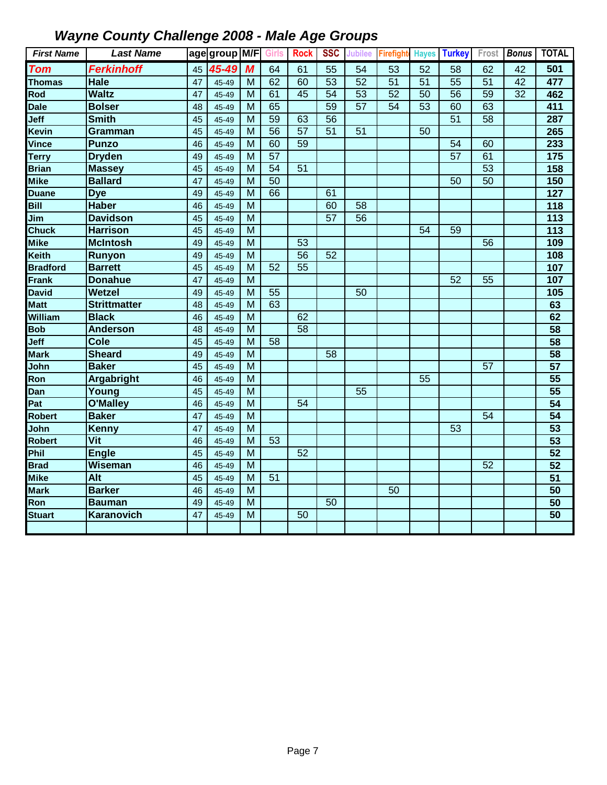| <b>First Name</b> | <b>Last Name</b>    |    | age group M/F Girls |                |                 | <b>Rock</b> | <b>SSC</b>      | <b>Jubilee</b> | Firefight |    | <b>Hayes Turkey</b> | Frost | <b>Bonus</b>    | <b>TOTAL</b>    |
|-------------------|---------------------|----|---------------------|----------------|-----------------|-------------|-----------------|----------------|-----------|----|---------------------|-------|-----------------|-----------------|
| <b>Tom</b>        | <b>Ferkinhoff</b>   | 45 | 45-49               | $\overline{M}$ | 64              | 61          | 55              | 54             | 53        | 52 | 58                  | 62    | 42              | 501             |
| <b>Thomas</b>     | Hale                | 47 | 45-49               | M              | 62              | 60          | 53              | 52             | 51        | 51 | 55                  | 51    | 42              | 477             |
| Rod               | <b>Waltz</b>        | 47 | 45-49               | M              | 61              | 45          | 54              | 53             | 52        | 50 | 56                  | 59    | $\overline{32}$ | 462             |
| <b>Dale</b>       | <b>Bolser</b>       | 48 | 45-49               | M              | 65              |             | $\overline{59}$ | 57             | 54        | 53 | 60                  | 63    |                 | 411             |
| Jeff              | <b>Smith</b>        | 45 | 45-49               | M              | 59              | 63          | 56              |                |           |    | 51                  | 58    |                 | 287             |
| Kevin             | Gramman             | 45 | 45-49               | M              | 56              | 57          | 51              | 51             |           | 50 |                     |       |                 | 265             |
| Vince             | <b>Punzo</b>        | 46 | 45-49               | M              | 60              | 59          |                 |                |           |    | 54                  | 60    |                 | 233             |
| <b>Terry</b>      | <b>Dryden</b>       | 49 | 45-49               | $\overline{M}$ | $\overline{57}$ |             |                 |                |           |    | $\overline{57}$     | 61    |                 | 175             |
| <b>Brian</b>      | <b>Massey</b>       | 45 | 45-49               | M              | 54              | 51          |                 |                |           |    |                     | 53    |                 | 158             |
| <b>Mike</b>       | <b>Ballard</b>      | 47 | 45-49               | M              | 50              |             |                 |                |           |    | 50                  | 50    |                 | 150             |
| <b>Duane</b>      | <b>Dye</b>          | 49 | 45-49               | M              | 66              |             | 61              |                |           |    |                     |       |                 | 127             |
| Bill              | <b>Haber</b>        | 46 | 45-49               | M              |                 |             | 60              | 58             |           |    |                     |       |                 | $\frac{1}{18}$  |
| Jim               | <b>Davidson</b>     | 45 | 45-49               | M              |                 |             | 57              | 56             |           |    |                     |       |                 | 113             |
| <b>Chuck</b>      | <b>Harrison</b>     | 45 | 45-49               | M              |                 |             |                 |                |           | 54 | 59                  |       |                 | 113             |
| <b>Mike</b>       | <b>McIntosh</b>     | 49 | 45-49               | M              |                 | 53          |                 |                |           |    |                     | 56    |                 | 109             |
| Keith             | Runyon              | 49 | 45-49               | M              |                 | 56          | 52              |                |           |    |                     |       |                 | 108             |
| <b>Bradford</b>   | <b>Barrett</b>      | 45 | 45-49               | M              | 52              | 55          |                 |                |           |    |                     |       |                 | 107             |
| <b>Frank</b>      | <b>Donahue</b>      | 47 | 45-49               | M              |                 |             |                 |                |           |    | 52                  | 55    |                 | 107             |
| <b>David</b>      | <b>Wetzel</b>       | 49 | 45-49               | M              | 55              |             |                 | 50             |           |    |                     |       |                 | 105             |
| <b>Matt</b>       | <b>Strittmatter</b> | 48 | 45-49               | M              | 63              |             |                 |                |           |    |                     |       |                 | 63              |
| William           | <b>Black</b>        | 46 | 45-49               | M              |                 | 62          |                 |                |           |    |                     |       |                 | 62              |
| <b>Bob</b>        | <b>Anderson</b>     | 48 | 45-49               | M              |                 | 58          |                 |                |           |    |                     |       |                 | 58              |
| Jeff              | <b>Cole</b>         | 45 | 45-49               | M              | 58              |             |                 |                |           |    |                     |       |                 | $\overline{58}$ |
| <b>Mark</b>       | <b>Sheard</b>       | 49 | 45-49               | M              |                 |             | 58              |                |           |    |                     |       |                 | 58              |
| John              | <b>Baker</b>        | 45 | 45-49               | M              |                 |             |                 |                |           |    |                     | 57    |                 | 57              |
| Ron               | Argabright          | 46 | 45-49               | M              |                 |             |                 |                |           | 55 |                     |       |                 | 55              |
| Dan               | Young               | 45 | 45-49               | M              |                 |             |                 | 55             |           |    |                     |       |                 | $\overline{55}$ |
| Pat               | <b>O'Malley</b>     | 46 | 45-49               | M              |                 | 54          |                 |                |           |    |                     |       |                 | $\overline{54}$ |
| <b>Robert</b>     | <b>Baker</b>        | 47 | 45-49               | M              |                 |             |                 |                |           |    |                     | 54    |                 | $\overline{54}$ |
| John              | <b>Kenny</b>        | 47 | 45-49               | M              |                 |             |                 |                |           |    | 53                  |       |                 | $\overline{53}$ |
| <b>Robert</b>     | Vit                 | 46 | 45-49               | M              | 53              |             |                 |                |           |    |                     |       |                 | $\overline{53}$ |
| Phil              | <b>Engle</b>        | 45 | 45-49               | M              |                 | 52          |                 |                |           |    |                     |       |                 | 52              |
| <b>Brad</b>       | Wiseman             | 46 | 45-49               | M              |                 |             |                 |                |           |    |                     | 52    |                 | 52              |
| <b>Mike</b>       | Alt                 | 45 | 45-49               | M              | 51              |             |                 |                |           |    |                     |       |                 | $\overline{51}$ |
| <b>Mark</b>       | <b>Barker</b>       | 46 | 45-49               | M              |                 |             |                 |                | 50        |    |                     |       |                 | 50              |
| Ron               | <b>Bauman</b>       | 49 | 45-49               | M              |                 |             | 50              |                |           |    |                     |       |                 | 50              |
| <b>Stuart</b>     | Karanovich          | 47 | 45-49               | M              |                 | 50          |                 |                |           |    |                     |       |                 | $\overline{50}$ |
|                   |                     |    |                     |                |                 |             |                 |                |           |    |                     |       |                 |                 |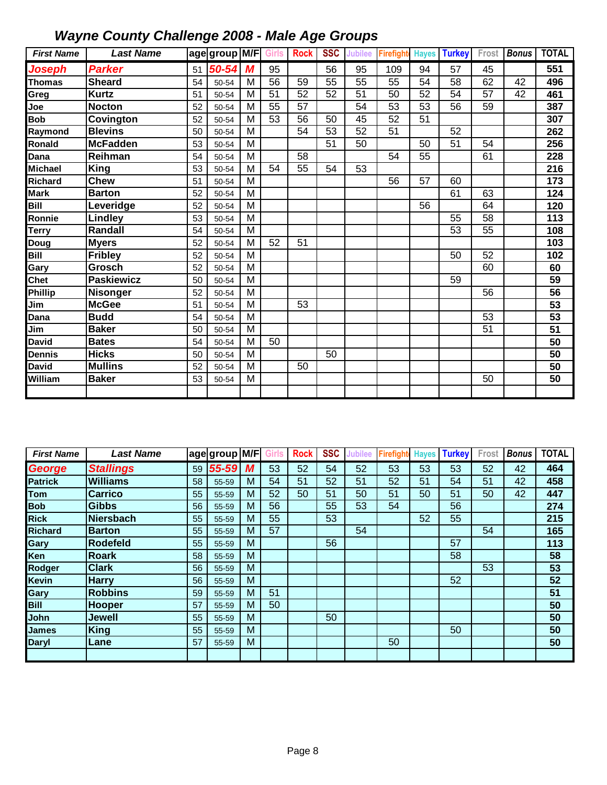| <b>First Name</b> | <b>Last Name</b>  |    | age group M/F |                | Girls | <b>Rock</b> | <b>SSC</b>      | <b>Jubilee</b>  | Firefight | <b>Hayes</b> | <b>Turkey</b> | Frost | <b>Bonus</b> | <b>TOTAL</b>    |
|-------------------|-------------------|----|---------------|----------------|-------|-------------|-----------------|-----------------|-----------|--------------|---------------|-------|--------------|-----------------|
| Joseph            | <b>Parker</b>     | 51 | 50-54         | M              | 95    |             | 56              | 95              | 109       | 94           | 57            | 45    |              | 551             |
| <b>Thomas</b>     | <b>Sheard</b>     | 54 | 50-54         | M              | 56    | 59          | $\overline{55}$ | $\overline{55}$ | 55        | 54           | 58            | 62    | 42           | 496             |
| Greg              | <b>Kurtz</b>      | 51 | 50-54         | M              | 51    | 52          | 52              | 51              | 50        | 52           | 54            | 57    | 42           | 461             |
| Joe               | <b>Nocton</b>     | 52 | 50-54         | M              | 55    | 57          |                 | $\overline{54}$ | 53        | 53           | 56            | 59    |              | 387             |
| <b>Bob</b>        | Covington         | 52 | 50-54         | M              | 53    | 56          | 50              | 45              | 52        | 51           |               |       |              | 307             |
| Raymond           | <b>Blevins</b>    | 50 | 50-54         | M              |       | 54          | 53              | 52              | 51        |              | 52            |       |              | 262             |
| Ronald            | <b>McFadden</b>   | 53 | 50-54         | M              |       |             | 51              | 50              |           | 50           | 51            | 54    |              | 256             |
| Dana              | Reihman           | 54 | 50-54         | M              |       | 58          |                 |                 | 54        | 55           |               | 61    |              | 228             |
| <b>Michael</b>    | <b>King</b>       | 53 | 50-54         | M              | 54    | 55          | 54              | 53              |           |              |               |       |              | 216             |
| <b>Richard</b>    | <b>Chew</b>       | 51 | 50-54         | M              |       |             |                 |                 | 56        | 57           | 60            |       |              | 173             |
| <b>Mark</b>       | <b>Barton</b>     | 52 | 50-54         | M              |       |             |                 |                 |           |              | 61            | 63    |              | 124             |
| <b>Bill</b>       | Leveridge         | 52 | 50-54         | M              |       |             |                 |                 |           | 56           |               | 64    |              | 120             |
| Ronnie            | Lindley           | 53 | 50-54         | M              |       |             |                 |                 |           |              | 55            | 58    |              | 113             |
| <b>Terry</b>      | Randall           | 54 | 50-54         | M              |       |             |                 |                 |           |              | 53            | 55    |              | 108             |
| Doug              | <b>Myers</b>      | 52 | 50-54         | $\overline{M}$ | 52    | 51          |                 |                 |           |              |               |       |              | 103             |
| Bill              | <b>Fribley</b>    | 52 | 50-54         | M              |       |             |                 |                 |           |              | 50            | 52    |              | 102             |
| Gary              | Grosch            | 52 | 50-54         | M              |       |             |                 |                 |           |              |               | 60    |              | 60              |
| <b>Chet</b>       | <b>Paskiewicz</b> | 50 | 50-54         | M              |       |             |                 |                 |           |              | 59            |       |              | 59              |
| <b>Phillip</b>    | <b>Nisonger</b>   | 52 | 50-54         | M              |       |             |                 |                 |           |              |               | 56    |              | 56              |
| Jim               | <b>McGee</b>      | 51 | 50-54         | $\overline{M}$ |       | 53          |                 |                 |           |              |               |       |              | $\overline{53}$ |
| Dana              | <b>Budd</b>       | 54 | 50-54         | M              |       |             |                 |                 |           |              |               | 53    |              | 53              |
| Jim               | <b>Baker</b>      | 50 | 50-54         | M              |       |             |                 |                 |           |              |               | 51    |              | $\overline{51}$ |
| <b>David</b>      | <b>Bates</b>      | 54 | 50-54         | $\overline{M}$ | 50    |             |                 |                 |           |              |               |       |              | $\overline{50}$ |
| <b>Dennis</b>     | <b>Hicks</b>      | 50 | 50-54         | M              |       |             | 50              |                 |           |              |               |       |              | 50              |
| <b>David</b>      | <b>Mullins</b>    | 52 | 50-54         | M              |       | 50          |                 |                 |           |              |               |       |              | 50              |
| William           | <b>Baker</b>      | 53 | 50-54         | M              |       |             |                 |                 |           |              |               | 50    |              | 50              |
|                   |                   |    |               |                |       |             |                 |                 |           |              |               |       |              |                 |

| <b>First Name</b> | <b>Last Name</b> |    | age group M/F |   |    | <b>Rock</b> | <b>SSC</b> | Jubilee | <b>Firefight</b> | <b>Hayes</b> | <b>Turkey</b> | Frost | <b>Bonus</b> | <b>TOTAL</b> |
|-------------------|------------------|----|---------------|---|----|-------------|------------|---------|------------------|--------------|---------------|-------|--------------|--------------|
| <b>George</b>     | <b>Stallings</b> | 59 | 55-59         | M | 53 | 52          | 54         | 52      | 53               | 53           | 53            | 52    | 42           | 464          |
| <b>Patrick</b>    | <b>Williams</b>  | 58 | 55-59         | M | 54 | 51          | 52         | 51      | 52               | 51           | 54            | 51    | 42           | 458          |
| Tom               | <b>Carrico</b>   | 55 | 55-59         | M | 52 | 50          | 51         | 50      | 51               | 50           | 51            | 50    | 42           | 447          |
| <b>Bob</b>        | <b>Gibbs</b>     | 56 | 55-59         | M | 56 |             | 55         | 53      | 54               |              | 56            |       |              | 274          |
| <b>Rick</b>       | <b>Niersbach</b> | 55 | 55-59         | M | 55 |             | 53         |         |                  | 52           | 55            |       |              | 215          |
| <b>Richard</b>    | <b>Barton</b>    | 55 | 55-59         | M | 57 |             |            | 54      |                  |              |               | 54    |              | 165          |
| Gary              | <b>Rodefeld</b>  | 55 | 55-59         | M |    |             | 56         |         |                  |              | 57            |       |              | 113          |
| Ken               | <b>Roark</b>     | 58 | 55-59         | M |    |             |            |         |                  |              | 58            |       |              | 58           |
| Rodger            | <b>Clark</b>     | 56 | 55-59         | M |    |             |            |         |                  |              |               | 53    |              | 53           |
| <b>Kevin</b>      | <b>Harry</b>     | 56 | 55-59         | M |    |             |            |         |                  |              | 52            |       |              | 52           |
| Gary              | <b>Robbins</b>   | 59 | 55-59         | M | 51 |             |            |         |                  |              |               |       |              | 51           |
| <b>Bill</b>       | <b>Hooper</b>    | 57 | 55-59         | M | 50 |             |            |         |                  |              |               |       |              | 50           |
| John              | Jewell           | 55 | 55-59         | M |    |             | 50         |         |                  |              |               |       |              | 50           |
| <b>James</b>      | King             | 55 | 55-59         | M |    |             |            |         |                  |              | 50            |       |              | 50           |
| <b>Daryl</b>      | Lane             | 57 | 55-59         | M |    |             |            |         | 50               |              |               |       |              | 50           |
|                   |                  |    |               |   |    |             |            |         |                  |              |               |       |              |              |